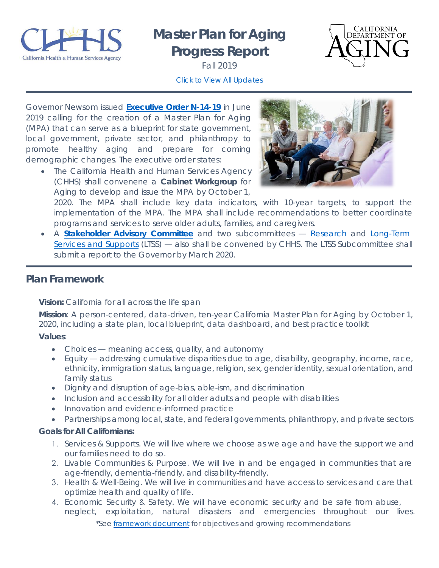

# **Master Plan for Aging Progress Report**



Fall 2019 *[Click to View All Updates](https://www.chhs.ca.gov/home/master-plan-for-aging/)*

Governor Newsom issued **[Executive Order N-14-19](https://www.gov.ca.gov/wp-content/uploads/2019/06/6.10.19-Master-Plan-for-Aging-EO.pdf)** in June 2019 calling for the creation of a Master Plan for Aging (MPA) that can serve as a blueprint for state government, local government, private sector, and philanthropy to promote healthy aging and prepare for coming demographic changes. The executive order states:

• The California Health and Human Services Agency (CHHS) shall convenene a **Cabinet Workgroup** for Aging to develop and issue the MPA by October 1,



2020. The MPA shall include key data indicators, with 10-year targets, to support the implementation of the MPA. The MPA shall include recommendations to better coordinate programs and services to serve older adults, families, and caregivers.

• A **[Stakeholder Advisory](https://www.chhs.ca.gov/home/master-plan-for-aging/master-plan-for-aging-engagement-activities/) Committee** and two subcommittees — [Research](https://www.chhs.ca.gov/home/master-plan-for-aging/subcommittees/research/) and [Long-Term](https://www.chhs.ca.gov/home/master-plan-for-aging/subcommittees/ltss/) [Services and Supports](https://www.chhs.ca.gov/home/master-plan-for-aging/subcommittees/ltss/) (LTSS) — also shall be convened by CHHS. The LTSS Subcommittee shall submit a report to the Governor by March 2020.

#### *Plan Framework*

**Vision:** California for all across the life span

**Mission**: A person-centered, data-driven, ten-year California Master Plan for Aging by October 1, 2020, including a state plan, local blueprint, data dashboard, and best practice toolkit

**Values**:

- Choices meaning access, quality, and autonomy
- Equity addressing cumulative disparities due to age, disability, geography, income, race, ethnicity, immigration status, language, religion, sex, gender identity, sexual orientation, and family status
- Dignity and disruption of age-bias, able-ism, and discrimination
- Inclusion and accessibility for all older adults and people with disabilities
- Innovation and evidence-informed practice
- Partnerships among local, state, and federal governments, philanthropy, and private sectors

#### **Goals for All Californians:**

- 1. Services & Supports. We will live where we choose as we age and have the support we and our families need to do so.
- 2. Livable Communities & Purpose. We will live in and be engaged in communities that are age-friendly, dementia-friendly, and disability-friendly.
- 3. Health & Well-Being. We will live in communities and have access to services and care that optimize health and quality of life.
- 4. Economic Security & Safety. We will have economic security and be safe from abuse, neglect, exploitation, natural disasters and emergencies throughout our lives. *\*See [framework document](https://www.chhs.ca.gov/wp-content/uploads/2019/11/MPA-Framework.pdf) for objectives and growing recommendations*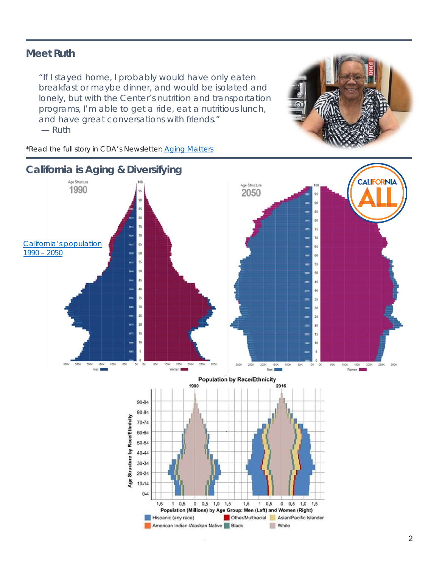#### *Meet Ruth*

*"If I stayed home, I probably would have only eaten breakfast or maybe dinner, and would be isolated and lonely, but with the Center's nutrition and transportation programs, I'm able to get a ride, eat a nutritious lunch, and have great conversations with friends."* — *Ruth*



*\*Read the full story in CDA's Newsletter: [Aging Matters](https://sway.office.com/baq5wvhHGwmc1atN?ref=Link)*

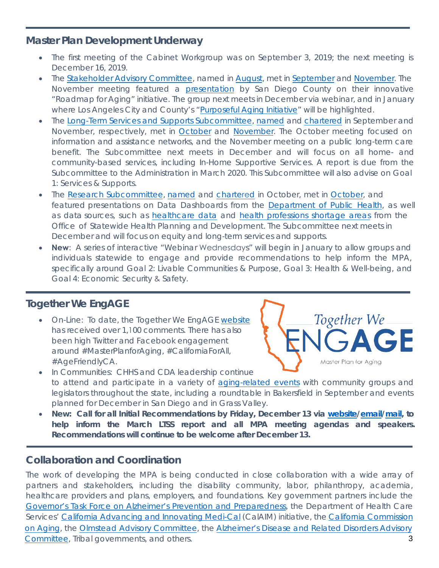#### *Master Plan Development Underway*

- The first meeting of the Cabinet Workgroup was on September 3, 2019; the next meeting is December 16, 2019.
- The Stakeholder [Advisory Committee,](https://www.chhs.ca.gov/home/master-plan-for-aging/#general-meeting-information) named in [August,](https://www.chhs.ca.gov/blog/2019/08/15/california-health-and-human-services-secretary-dr-mark-ghaly-makes-appointments-to-master-plan-for-aging-stakeholder-advisory-committee/) met in [September](https://www.chhs.ca.gov/home/master-plan-for-aging/#september-17-2019) an[d November.](https://www.chhs.ca.gov/home/master-plan-for-aging/#november-4-2019) The November meeting featured [a presentation](https://www.chhs.ca.gov/wp-content/uploads/2019/10/MPA-SAC-Slides-11.4.19-Final.pdf) by San Diego County on their innovative "Roadmap for Aging" initiative. The group next meets in December via webinar, and in January where Los Angeles City and County's ["Purposeful Aging Initiative"](https://www.purposefulagingla.com/) will be highlighted.
- The [Long-Term Services and Supports Subcommittee,](https://www.chhs.ca.gov/home/master-plan-for-aging/subcommittees/research/) [named](https://www.chhs.ca.gov/wp-content/uploads/2019/10/Master-Plan-for-Aging-LTSS-Subcommittee-Members-10.30.19.pdf) and [chartered](https://www.chhs.ca.gov/wp-content/uploads/2019/11/MPA-LTC-LTSS-Subcommittee-Charter-11-7-19.pdf) in September and November, respectively, met in [October](https://www.chhs.ca.gov/home/master-plan-for-aging/subcommittees/ltss/#october-28-2019) and [November.](https://www.chhs.ca.gov/home/master-plan-for-aging/subcommittees/ltss/#november-12-2019) The October meeting focused on information and assistance networks, and the November meeting on a public long-term care benefit. The Subcommittee next meets in December and will focus on all home- and community-based services, including In-Home Supportive Services. A report is due from the Subcommittee to the Administration in March 2020. This Subcommittee will also advise on Goal 1: Services & Supports.
- The [Research Subcommittee,](https://www.chhs.ca.gov/home/master-plan-for-aging/subcommittees/research/#general-meeting-information) [named](https://www.chhs.ca.gov/wp-content/uploads/2019/11/Master-Plan-for-Aging-Research-Subcommittee-Members-11.13.pdf) and [charte](https://www.chhs.ca.gov/wp-content/uploads/2019/10/MPA-Research-Subcommittee-Charter-10.12.19_A.pdf)red in October, met in [October,](https://www.chhs.ca.gov/home/master-plan-for-aging/subcommittees/research/#october-24-2019) and featured presentations on Data Dashboards from the [Department of Public Health,](https://www.chhs.ca.gov/wp-content/uploads/2019/10/LGHCPresentation_MPA_ResearchSubcommittee-ADA.pdf) as well as data sources, such as [healthcare data](https://www.chhs.ca.gov/wp-content/uploads/2019/10/MPA-Research-Sub-OSHPD-10.24.19_A.pdf) and [health professions shortage areas](https://www.chhs.ca.gov/wp-content/uploads/2019/10/Health-Professional-Shortage-Area.pdf) from the Office of Statewide Health Planning and Development. The Subcommittee next meets in December and will focus on equity and long-term services and supports.
- **New**: A series of interactive "Webinar Wednesdays" will begin in January to allow groups and individuals statewide to engage and provide recommendations to help inform the MPA, specifically around Goal 2: Livable Communities & Purpose, Goal 3: Health & Well-being, and Goal 4: Economic Security & Safety.

#### *Together We EngAGE*

• On-Line: To date, the Together We EngAGE [website](https://www.chhs.ca.gov/home/master-plan-for-aging/) has received over 1,100 comments. There has also been high Twitter and Facebook engagement around #MasterPlanforAging, #CaliforniaForAll, #AgeFriendlyCA.



- In Communities: CHHS and CDA leadership continue to attend and participate in a variety of [aging-related events](https://www.chhs.ca.gov/home/master-plan-for-aging/master-plan-for-aging-engagement-activities/) with community groups and legislators throughout the state, including a roundtable in Bakersfield in September and events planned for December in San Diego and in Grass Valley.
- **New: Call for all Initial Recommendations by Friday, December 13 via [website](https://www.surveymonkey.com/r/MasterPlanRecommendations)[/email](mailto:engage@aging.ca.gov)[/mail,](https://www.aging.ca.gov/Contact_Us/) to help inform the March LTSS report and all MPA meeting agendas and speakers. Recommendations will continue to be welcome after December 13.**

#### *Collaboration and Coordination*

3 The work of developing the MPA is being conducted in close collaboration with a wide array of partners and stakeholders, including the disability community, labor, philanthropy, academia, healthcare providers and plans, employers, and foundations. Key government partners include the Governor's Task Force on Alzheimer's Prevention and Preparedness, the Department of Health Care [Services' California Advancing and Innovating Medi-Cal \(CalAIM\) init](https://www.chhs.ca.gov/home/committees/governors-task-force-on-alzheimers/)iative, the [California Commission](https://ccoa.ca.gov/) on Aging, the Olmstead Advisory Committee, the Alzheimer's Disease and Related Disorders Advisory Committee, Tribal governments, and others.